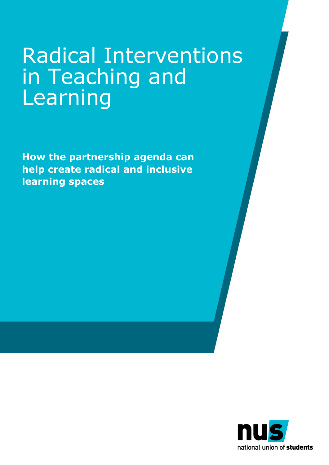## Radical Interventions in Teaching and Learning

**How the partnership agenda can help create radical and inclusive learning spaces**

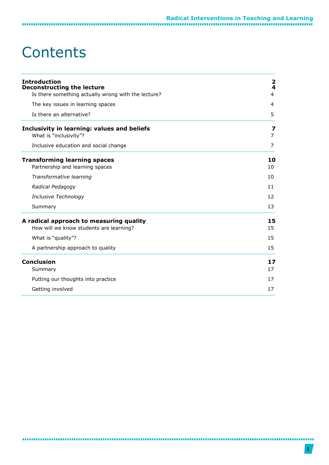### **Contents**

| <b>Introduction</b><br><b>Deconstructing the lecture</b>                           | 2<br>4   |
|------------------------------------------------------------------------------------|----------|
| Is there something actually wrong with the lecture?                                | 4        |
| The key issues in learning spaces<br>Is there an alternative?                      | 4<br>5   |
|                                                                                    |          |
| Inclusive education and social change                                              | 7        |
| <b>Transforming learning spaces</b><br>Partnership and learning spaces             | 10<br>10 |
| Transformative learning                                                            | 10       |
| Radical Pedagogy                                                                   | 11       |
| Inclusive Technology                                                               | 12       |
| Summary                                                                            | 13       |
| A radical approach to measuring quality<br>How will we know students are learning? | 15<br>15 |
| What is "quality"?                                                                 | 15       |
| A partnership approach to quality                                                  | 15       |
| <b>Conclusion</b><br>Summary                                                       | 17<br>17 |
| Putting our thoughts into practice                                                 | 17       |
| Getting involved                                                                   | 17       |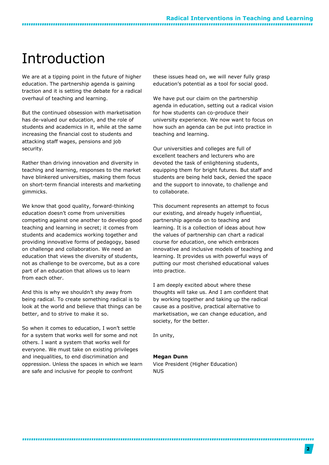### <span id="page-2-0"></span>Introduction

We are at a tipping point in the future of higher education. The partnership agenda is gaining traction and it is setting the debate for a radical overhaul of teaching and learning.

But the continued obsession with marketisation has de-valued our education, and the role of students and academics in it, while at the same increasing the financial cost to students and attacking staff wages, pensions and job security.

Rather than driving innovation and diversity in teaching and learning, responses to the market have blinkered universities, making them focus on short-term financial interests and marketing gimmicks.

We know that good quality, forward-thinking education doesn't come from universities competing against one another to develop good teaching and learning in secret; it comes from students and academics working together and providing innovative forms of pedagogy, based on challenge and collaboration. We need an education that views the diversity of students, not as challenge to be overcome, but as a core part of an education that allows us to learn from each other.

And this is why we shouldn't shy away from being radical. To create something radical is to look at the world and believe that things can be better, and to strive to make it so.

So when it comes to education, I won't settle for a system that works well for some and not others. I want a system that works well for everyone. We must take on existing privileges and inequalities, to end discrimination and oppression. Unless the spaces in which we learn are safe and inclusive for people to confront

these issues head on, we will never fully grasp education's potential as a tool for social good.

We have put our claim on the partnership agenda in education, setting out a radical vision for how students can co-produce their university experience. We now want to focus on how such an agenda can be put into practice in teaching and learning.

Our universities and colleges are full of excellent teachers and lecturers who are devoted the task of enlightening students, equipping them for bright futures. But staff and students are being held back, denied the space and the support to innovate, to challenge and to collaborate.

This document represents an attempt to focus our existing, and already hugely influential, partnership agenda on to teaching and learning. It is a collection of ideas about how the values of partnership can chart a radical course for education, one which embraces innovative and inclusive models of teaching and learning. It provides us with powerful ways of putting our most cherished educational values into practice.

I am deeply excited about where these thoughts will take us. And I am confident that by working together and taking up the radical cause as a positive, practical alternative to marketisation, we can change education, and society, for the better.

In unity,

#### **Megan Dunn**

Vice President (Higher Education) NUS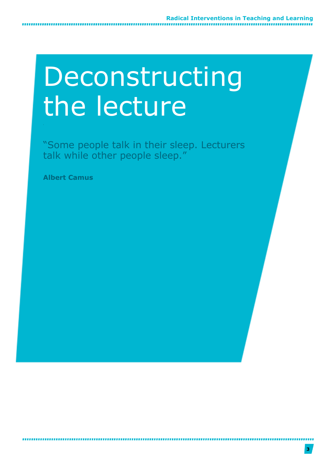## Deconstructing the lecture

"Some people talk in their sleep. Lecturers talk while other people sleep."

**Albert Camus**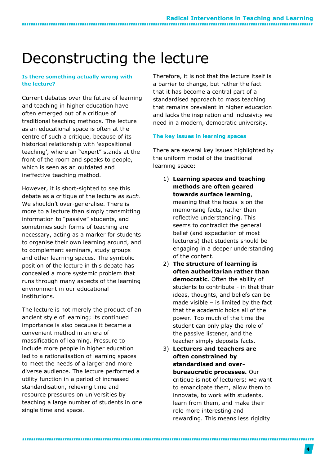### <span id="page-4-0"></span>Deconstructing the lecture

#### <span id="page-4-1"></span>**Is there something actually wrong with the lecture?**

Current debates over the future of learning and teaching in higher education have often emerged out of a critique of traditional teaching methods. The lecture as an educational space is often at the centre of such a critique, because of its historical relationship with 'expositional teaching', where an "expert" stands at the front of the room and speaks to people, which is seen as an outdated and ineffective teaching method.

However, it is short-sighted to see this debate as a critique of the lecture *as such*. We shouldn't over-generalise. There is more to a lecture than simply transmitting information to "passive" students, and sometimes such forms of teaching are necessary, acting as a marker for students to organise their own learning around, and to complement seminars, study groups and other learning spaces. The symbolic position of the lecture in this debate has concealed a more systemic problem that runs through many aspects of the learning environment in our educational institutions.

The lecture is not merely the product of an ancient style of learning; its continued importance is also because it became a convenient method in an era of massification of learning. Pressure to include more people in higher education led to a rationalisation of learning spaces to meet the needs of a larger and more diverse audience. The lecture performed a utility function in a period of increased standardisation, relieving time and resource pressures on universities by teaching a large number of students in one single time and space.

Therefore, it is not that the lecture itself is a barrier to change, but rather the fact that it has become a central part of a standardised approach to mass teaching that remains prevalent in higher education and lacks the inspiration and inclusivity we need in a modern, democratic university.

#### <span id="page-4-2"></span>**The key issues in learning spaces**

There are several key issues highlighted by the uniform model of the traditional learning space:

1) **Learning spaces and teaching methods are often geared towards surface learning**,

meaning that the focus is on the memorising facts, rather than reflective understanding. This seems to contradict the general belief (and expectation of most lecturers) that students should be engaging in a deeper understanding of the content.

- 2) **The structure of learning is often authoritarian rather than democratic**. Often the ability of students to contribute - in that their ideas, thoughts, and beliefs can be made visible – is limited by the fact that the academic holds all of the power. Too much of the time the student can only play the role of the passive listener, and the teacher simply deposits facts.
- 3) **Lecturers and teachers are often constrained by standardised and overbureaucratic processes.** Our critique is not of lecturers: we want to emancipate them, allow them to innovate, to work with students, learn from them, and make their role more interesting and rewarding. This means less rigidity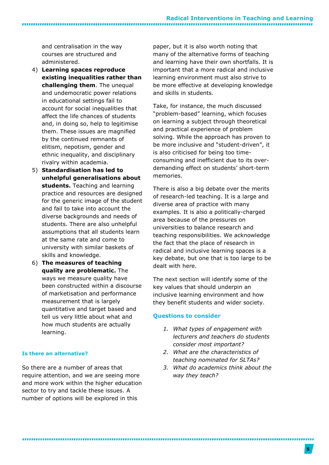#### **Radical Interventions in Teaching and Learning**

and centralisation in the way courses are structured and administered.

- 4) **Learning spaces reproduce existing inequalities rather than challenging them**. The unequal and undemocratic power relations in educational settings fail to account for social inequalities that affect the life chances of students and, in doing so, help to legitimise them. These issues are magnified by the continued remnants of elitism, nepotism, gender and ethnic inequality, and disciplinary rivalry within academia.
- 5) **Standardisation has led to unhelpful generalisations about students.** Teaching and learning practice and resources are designed for the generic image of the student and fail to take into account the diverse backgrounds and needs of students. There are also unhelpful assumptions that all students learn at the same rate and come to university with similar baskets of skills and knowledge.
- 6) **The measures of teaching quality are problematic.** The ways we measure quality have been constructed within a discourse of marketisation and performance measurement that is largely quantitative and target based and tell us very little about what and how much students are actually learning.

#### <span id="page-5-0"></span>**Is there an alternative?**

So there are a number of areas that require attention, and we are seeing more and more work within the higher education sector to try and tackle these issues. A number of options will be explored in this

paper, but it is also worth noting that many of the alternative forms of teaching and learning have their own shortfalls. It is important that a more radical and inclusive learning environment must also strive to be more effective at developing knowledge and skills in students.

Take, for instance, the much discussed "problem-based" learning, which focuses on learning a subject through theoretical and practical experience of problem solving. While the approach has proven to be more inclusive and "student-driven", it is also criticised for being too timeconsuming and inefficient due to its overdemanding effect on students' short-term memories.

There is also a big debate over the merits of research-led teaching. It is a large and diverse area of practice with many examples. It is also a politically-charged area because of the pressures on universities to balance research and teaching responsibilities. We acknowledge the fact that the place of research in radical and inclusive learning spaces is a key debate, but one that is too large to be dealt with here.

The next section will identify some of the key values that should underpin an inclusive learning environment and how they benefit students and wider society.

#### **Questions to consider**

- *1. What types of engagement with lecturers and teachers do students consider most important?*
- *2. What are the characteristics of teaching nominated for SLTAs?*
- *3. What do academics think about the way they teach?*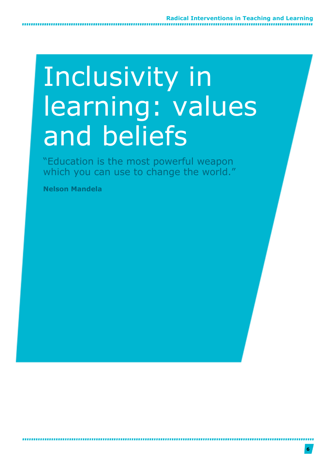## Inclusivity in learning: values and beliefs

"Education is the most powerful weapon which you can use to change the world."

**Nelson Mandela**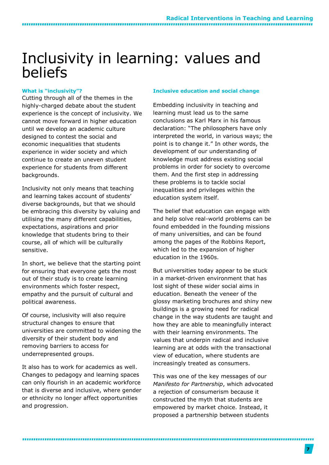### <span id="page-7-0"></span>Inclusivity in learning: values and beliefs

#### <span id="page-7-1"></span>**What is "inclusivity"?**

...........................

Cutting through all of the themes in the highly-charged debate about the student experience is the concept of inclusivity. We cannot move forward in higher education until we develop an academic culture designed to contest the social and economic inequalities that students experience in wider society and which continue to create an uneven student experience for students from different backgrounds.

Inclusivity not only means that teaching and learning takes account of students' diverse backgrounds, but that we should be embracing this diversity by valuing and utilising the many different capabilities, expectations, aspirations and prior knowledge that students bring to their course, all of which will be culturally sensitive.

In short, we believe that the starting point for ensuring that everyone gets the most out of their study is to create learning environments which foster respect, empathy and the pursuit of cultural and political awareness.

Of course, inclusivity will also require structural changes to ensure that universities are committed to widening the diversity of their student body and removing barriers to access for underrepresented groups.

It also has to work for academics as well. Changes to pedagogy and learning spaces can only flourish in an academic workforce that is diverse and inclusive, where gender or ethnicity no longer affect opportunities and progression.

#### <span id="page-7-2"></span>**Inclusive education and social change**

Embedding inclusivity in teaching and learning must lead us to the same conclusions as Karl Marx in his famous declaration: "The philosophers have only interpreted the world, in various ways; the point is to change it." In other words, the development of our understanding of knowledge must address existing social problems in order for society to overcome them. And the first step in addressing these problems is to tackle social inequalities and privileges within the education system itself.

The belief that education can engage with and help solve real-world problems can be found embedded in the founding missions of many universities, and can be found among the pages of the Robbins Report, which led to the expansion of higher education in the 1960s.

But universities today appear to be stuck in a market-driven environment that has lost sight of these wider social aims in education. Beneath the veneer of the glossy marketing brochures and shiny new buildings is a growing need for radical change in the way students are taught and how they are able to meaningfully interact with their learning environments. The values that underpin radical and inclusive learning are at odds with the transactional view of education, where students are increasingly treated as consumers.

This was one of the key messages of our *Manifesto for Partnership*, which advocated a rejection of consumerism because it constructed the myth that students are empowered by market choice. Instead, it proposed a partnership between students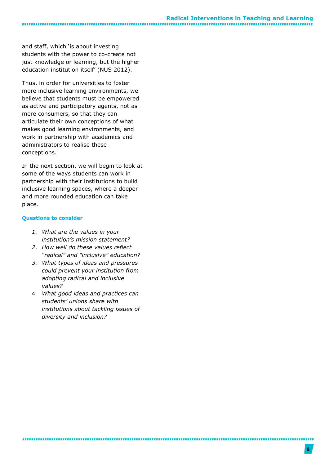and staff, which 'is about investing students with the power to co-create not just knowledge or learning, but the higher education institution itself' (NUS 2012).

Thus, in order for universities to foster more inclusive learning environments, we believe that students must be empowered as active and participatory agents, not as mere consumers, so that they can articulate their own conceptions of what makes good learning environments, and work in partnership with academics and administrators to realise these conceptions.

In the next section, we will begin to look at some of the ways students can work in partnership with their institutions to build inclusive learning spaces, where a deeper and more rounded education can take place.

#### **Questions to consider**

- *1. What are the values in your institution's mission statement?*
- *2. How well do these values reflect "radical" and "inclusive" education?*
- *3. What types of ideas and pressures could prevent your institution from adopting radical and inclusive values?*
- 4. *What good ideas and practices can students' unions share with institutions about tackling issues of diversity and inclusion?*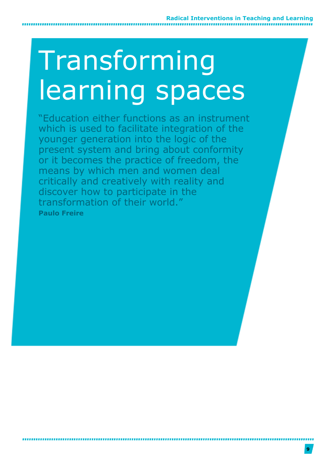# Transforming learning spaces

"Education either functions as an instrument which is used to facilitate integration of the younger generation into the logic of the present system and bring about conformity or it becomes the practice of freedom, the means by which men and women deal critically and creatively with reality and discover how to participate in the transformation of their world." **Paulo Freire**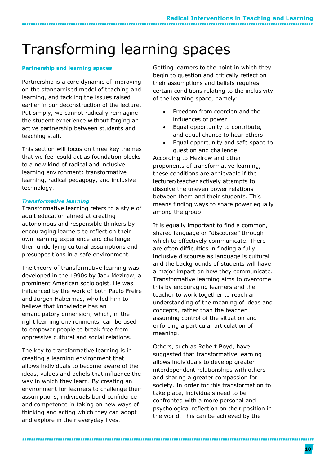### <span id="page-10-0"></span>Transforming learning spaces

#### <span id="page-10-1"></span>**Partnership and learning spaces**

,,,,,,,,,,,,,,,,,,,,,,,,,,,,,,

Partnership is a core dynamic of improving on the standardised model of teaching and learning, and tackling the issues raised earlier in our deconstruction of the lecture. Put simply, we cannot radically reimagine the student experience without forging an active partnership between students and teaching staff.

This section will focus on three key themes that we feel could act as foundation blocks to a new kind of radical and inclusive learning environment: transformative learning, radical pedagogy, and inclusive technology.

#### <span id="page-10-2"></span>*Transformative learning*

Transformative learning refers to a style of adult education aimed at creating autonomous and responsible thinkers by encouraging learners to reflect on their own learning experience and challenge their underlying cultural assumptions and presuppositions in a safe environment.

The theory of transformative learning was developed in the 1990s by Jack Mezirow, a prominent American sociologist. He was influenced by the work of both Paulo Freire and Jurgen Habermas, who led him to believe that knowledge has an emancipatory dimension, which, in the right learning environments, can be used to empower people to break free from oppressive cultural and social relations.

The key to transformative learning is in creating a learning environment that allows individuals to become aware of the ideas, values and beliefs that influence the way in which they learn. By creating an environment for learners to challenge their assumptions, individuals build confidence and competence in taking on new ways of thinking and acting which they can adopt and explore in their everyday lives.

Getting learners to the point in which they begin to question and critically reflect on their assumptions and beliefs requires certain conditions relating to the inclusivity of the learning space, namely:

- Freedom from coercion and the influences of power
- Equal opportunity to contribute, and equal chance to hear others
- Equal opportunity and safe space to question and challenge

According to Mezirow and other proponents of transformative learning, these conditions are achievable if the lecturer/teacher actively attempts to dissolve the uneven power relations between them and their students. This means finding ways to share power equally among the group.

It is equally important to find a common, shared language or "discourse" through which to effectively communicate. There are often difficulties in finding a fully inclusive discourse as language is cultural and the backgrounds of students will have a major impact on how they communicate. Transformative learning aims to overcome this by encouraging learners and the teacher to work together to reach an understanding of the meaning of ideas and concepts, rather than the teacher assuming control of the situation and enforcing a particular articulation of meaning.

Others, such as Robert Boyd, have suggested that transformative learning allows individuals to develop greater interdependent relationships with others and sharing a greater compassion for society. In order for this transformation to take place, individuals need to be confronted with a more personal and psychological reflection on their position in the world. This can be achieved by the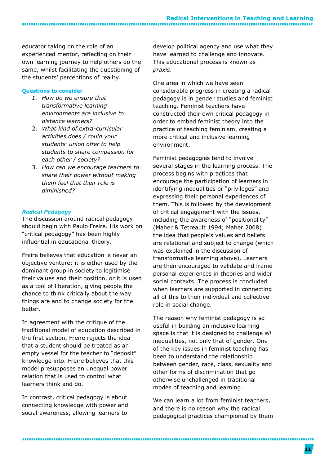educator taking on the role of an experienced mentor, reflecting on their own learning journey to help others do the same, whilst facilitating the questioning of the students' perceptions of reality.

#### **Questions to consider**

- *1. How do we ensure that transformative learning environments are inclusive to distance learners?*
- 2. *What kind of extra-curricular activities does / could your students' union offer to help students to share compassion for each other / society?*
- 3. *How can we encourage teachers to share their power without making them feel that their role is diminished?*

#### <span id="page-11-0"></span>*Radical Pedagogy*

The discussion around radical pedagogy should begin with Paulo Freire. His work on "critical pedagogy" has been highly influential in educational theory.

Freire believes that education is never an objective venture; it is either used by the dominant group in society to legitimise their values and their position, or it is used as a tool of liberation, giving people the chance to think critically about the way things are and to change society for the better.

In agreement with the critique of the traditional model of education described in the first section, Freire rejects the idea that a student should be treated as an empty vessel for the teacher to "deposit" knowledge into. Freire believes that this model presupposes an unequal power relation that is used to control what learners think and do.

In contrast, critical pedagogy is about connecting knowledge with power and social awareness, allowing learners to

develop political agency and use what they have learned to challenge and innovate. This educational process is known as *praxis*.

One area in which we have seen considerable progress in creating a radical pedagogy is in gender studies and feminist teaching. Feminist teachers have constructed their own critical pedagogy in order to embed feminist theory into the practice of teaching feminism, creating a more critical and inclusive learning environment.

Feminist pedagogies tend to involve several stages in the learning process. The process begins with practices that encourage the participation of learners in identifying inequalities or "privileges" and expressing their personal experiences of them. This is followed by the development of critical engagement with the issues, including the awareness of "positionality" (Maher & Tetreault 1994; Maher 2008): the idea that people's values and beliefs are relational and subject to change (which was explained in the discussion of transformative learning above). Learners are then encouraged to validate and frame personal experiences in theories and wider social contexts. The process is concluded when learners are supported in connecting all of this to their individual and collective role in social change.

The reason why feminist pedagogy is so useful in building an inclusive learning space is that it is designed to challenge *all* inequalities, not only that of gender. One of the key issues in feminist teaching has been to understand the relationship between gender, race, class, sexuality and other forms of discrimination that go otherwise unchallenged in traditional modes of teaching and learning.

We can learn a lot from feminist teachers, and there is no reason why the radical pedagogical practices championed by them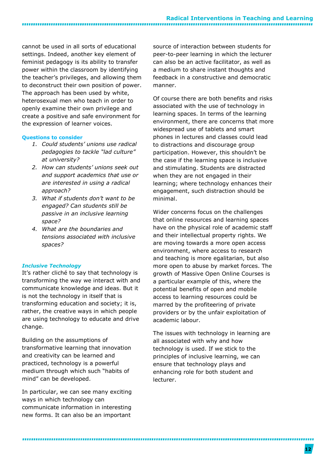cannot be used in all sorts of educational settings. Indeed, another key element of feminist pedagogy is its ability to transfer power within the classroom by identifying the teacher's privileges, and allowing them to deconstruct their own position of power. The approach has been used by white, heterosexual men who teach in order to openly examine their own privilege and create a positive and safe environment for the expression of learner voices.

#### **Questions to consider**

--------------------------------

- *1. Could students' unions use radical pedagogies to tackle "lad culture" at university?*
- *2. How can students' unions seek out and support academics that use or are interested in using a radical approach?*
- *3. What if students don't want to be engaged? Can students still be passive in an inclusive learning space?*
- *4. What are the boundaries and tensions associated with inclusive spaces?*

#### <span id="page-12-0"></span>*Inclusive Technology*

It's rather cliché to say that technology is transforming the way we interact with and communicate knowledge and ideas. But it is not the technology in itself that is transforming education and society; it is, rather, the creative ways in which people are using technology to educate and drive change.

Building on the assumptions of transformative learning that innovation and creativity can be learned and practiced, technology is a powerful medium through which such "habits of mind" can be developed.

In particular, we can see many exciting ways in which technology can communicate information in interesting new forms. It can also be an important

source of interaction between students for peer-to-peer learning in which the lecturer can also be an active facilitator, as well as a medium to share instant thoughts and feedback in a constructive and democratic manner.

Of course there are both benefits and risks associated with the use of technology in learning spaces. In terms of the learning environment, there are concerns that more widespread use of tablets and smart phones in lectures and classes could lead to distractions and discourage group participation. However, this shouldn't be the case if the learning space is inclusive and stimulating. Students are distracted when they are not engaged in their learning; where technology enhances their engagement, such distraction should be minimal.

Wider concerns focus on the challenges that online resources and learning spaces have on the physical role of academic staff and their intellectual property rights. We are moving towards a more open access environment, where access to research and teaching is more egalitarian, but also more open to abuse by market forces. The growth of Massive Open Online Courses is a particular example of this, where the potential benefits of open and mobile access to learning resources could be marred by the profiteering of private providers or by the unfair exploitation of academic labour.

The issues with technology in learning are all associated with why and how technology is used. If we stick to the principles of inclusive learning, we can ensure that technology plays and enhancing role for both student and lecturer.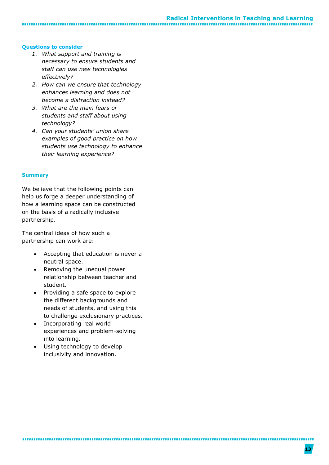### **Radical Interventions in Teaching and Learning**

#### **Questions to consider**

*1. What support and training is necessary to ensure students and staff can use new technologies effectively?*

- *2. How can we ensure that technology enhances learning and does not become a distraction instead?*
- *3. What are the main fears or students and staff about using technology?*
- *4. Can your students' union share examples of good practice on how students use technology to enhance their learning experience?*

#### <span id="page-13-0"></span>**Summary**

We believe that the following points can help us forge a deeper understanding of how a learning space can be constructed on the basis of a radically inclusive partnership.

The central ideas of how such a partnership can work are:

- Accepting that education is never a neutral space.
- Removing the unequal power relationship between teacher and student.
- Providing a safe space to explore the different backgrounds and needs of students, and using this to challenge exclusionary practices.
- Incorporating real world experiences and problem-solving into learning.

 Using technology to develop inclusivity and innovation.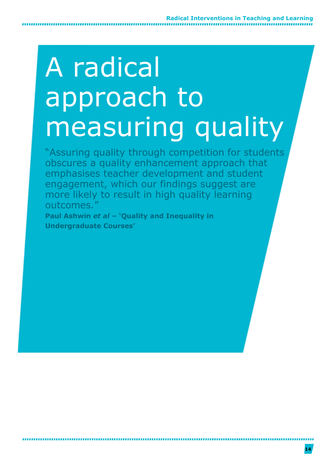## A radical approach to measuring quality

"Assuring quality through competition for students obscures a quality enhancement approach that emphasises teacher development and student engagement, which our findings suggest are more likely to result in high quality learning outcomes."

**Paul Ashwin** *et al –* **'Quality and Inequality in Undergraduate Courses'**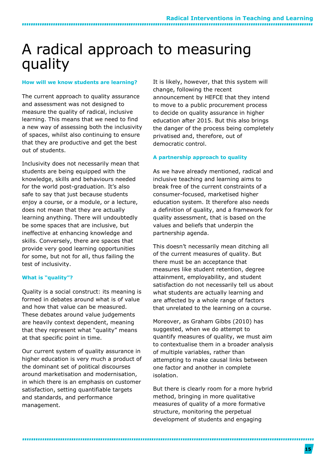### <span id="page-15-0"></span>A radical approach to measuring quality

#### <span id="page-15-1"></span>**How will we know students are learning?**

,,,,,,,,,,,,,,,,,,,,,,,,,,,,,,,,,,,

The current approach to quality assurance and assessment was not designed to measure the quality of radical, inclusive learning. This means that we need to find a new way of assessing both the inclusivity of spaces, whilst also continuing to ensure that they are productive and get the best out of students.

Inclusivity does not necessarily mean that students are being equipped with the knowledge, skills and behaviours needed for the world post-graduation. It's also safe to say that just because students enjoy a course, or a module, or a lecture, does not mean that they are actually learning anything. There will undoubtedly be some spaces that are inclusive, but ineffective at enhancing knowledge and skills. Conversely, there are spaces that provide very good learning opportunities for some, but not for all, thus failing the test of inclusivity.

#### <span id="page-15-2"></span>**What is "quality"?**

Quality is a social construct: its meaning is formed in debates around what is of value and how that value can be measured. These debates around value judgements are heavily context dependent, meaning that they represent what "quality" means at that specific point in time.

Our current system of quality assurance in higher education is very much a product of the dominant set of political discourses around marketisation and modernisation, in which there is an emphasis on customer satisfaction, setting quantifiable targets and standards, and performance management.

It is likely, however, that this system will change, following the recent announcement by HEFCE that they intend to move to a public procurement process to decide on quality assurance in higher education after 2015. But this also brings the danger of the process being completely privatised and, therefore, out of democratic control.

#### <span id="page-15-3"></span>**A partnership approach to quality**

As we have already mentioned, radical and inclusive teaching and learning aims to break free of the current constraints of a consumer-focused, marketised higher education system. It therefore also needs a definition of quality, and a framework for quality assessment, that is based on the values and beliefs that underpin the partnership agenda.

This doesn't necessarily mean ditching all of the current measures of quality. But there must be an acceptance that measures like student retention, degree attainment, employability, and student satisfaction do not necessarily tell us about what students are actually learning and are affected by a whole range of factors that unrelated to the learning on a course.

Moreover, as Graham Gibbs (2010) has suggested, when we do attempt to quantify measures of quality, we must aim to contextualise them in a broader analysis of multiple variables, rather than attempting to make causal links between one factor and another in complete isolation.

But there is clearly room for a more hybrid method, bringing in more qualitative measures of quality of a more formative structure, monitoring the perpetual development of students and engaging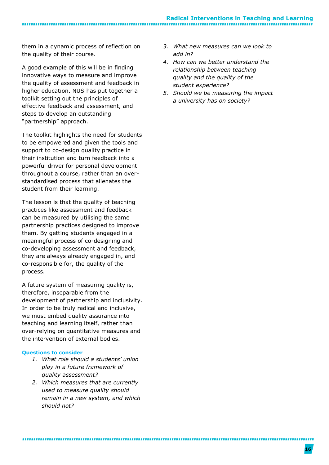them in a dynamic process of reflection on the quality of their course.

A good example of this will be in finding innovative ways to measure and improve the quality of assessment and feedback in higher education. NUS has put together a toolkit setting out the principles of effective feedback and assessment, and steps to develop an outstanding "partnership" approach.

The toolkit highlights the need for students to be empowered and given the tools and support to co-design quality practice in their institution and turn feedback into a powerful driver for personal development throughout a course, rather than an overstandardised process that alienates the student from their learning.

The lesson is that the quality of teaching practices like assessment and feedback can be measured by utilising the same partnership practices designed to improve them. By getting students engaged in a meaningful process of co-designing and co-developing assessment and feedback, they are always already engaged in, and co-responsible for, the quality of the process.

A future system of measuring quality is, therefore, inseparable from the development of partnership and inclusivity. In order to be truly radical and inclusive, we must embed quality assurance into teaching and learning itself, rather than over-relying on quantitative measures and the intervention of external bodies.

#### **Questions to consider**

- *1. What role should a students' union play in a future framework of quality assessment?*
- *2. Which measures that are currently used to measure quality should remain in a new system, and which should not?*
- *3. What new measures can we look to add in?*
- *4. How can we better understand the relationship between teaching quality and the quality of the student experience?*
- *5. Should we be measuring the impact a university has on society?*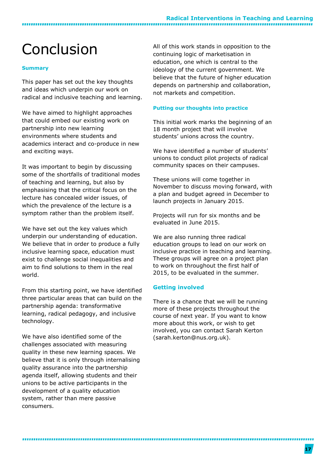### <span id="page-17-0"></span>Conclusion

#### <span id="page-17-1"></span>**Summary**

This paper has set out the key thoughts and ideas which underpin our work on radical and inclusive teaching and learning.

We have aimed to highlight approaches that could embed our existing work on partnership into new learning environments where students and academics interact and co-produce in new and exciting ways.

It was important to begin by discussing some of the shortfalls of traditional modes of teaching and learning, but also by emphasising that the critical focus on the lecture has concealed wider issues, of which the prevalence of the lecture is a symptom rather than the problem itself.

We have set out the key values which underpin our understanding of education. We believe that in order to produce a fully inclusive learning space, education must exist to challenge social inequalities and aim to find solutions to them in the real world.

From this starting point, we have identified three particular areas that can build on the partnership agenda: transformative learning, radical pedagogy, and inclusive technology.

We have also identified some of the challenges associated with measuring quality in these new learning spaces. We believe that it is only through internalising quality assurance into the partnership agenda itself, allowing students and their unions to be active participants in the development of a quality education system, rather than mere passive consumers.

All of this work stands in opposition to the continuing logic of marketisation in education, one which is central to the ideology of the current government. We believe that the future of higher education depends on partnership and collaboration, not markets and competition.

#### <span id="page-17-2"></span>**Putting our thoughts into practice**

This initial work marks the beginning of an 18 month project that will involve students' unions across the country.

We have identified a number of students' unions to conduct pilot projects of radical community spaces on their campuses.

These unions will come together in November to discuss moving forward, with a plan and budget agreed in December to launch projects in January 2015.

Projects will run for six months and be evaluated in June 2015.

We are also running three radical education groups to lead on our work on inclusive practice in teaching and learning. These groups will agree on a project plan to work on throughout the first half of 2015, to be evaluated in the summer.

#### <span id="page-17-3"></span>**Getting involved**

There is a chance that we will be running more of these projects throughout the course of next year. If you want to know more about this work, or wish to get involved, you can contact Sarah Kerton (sarah.kerton@nus.org.uk).